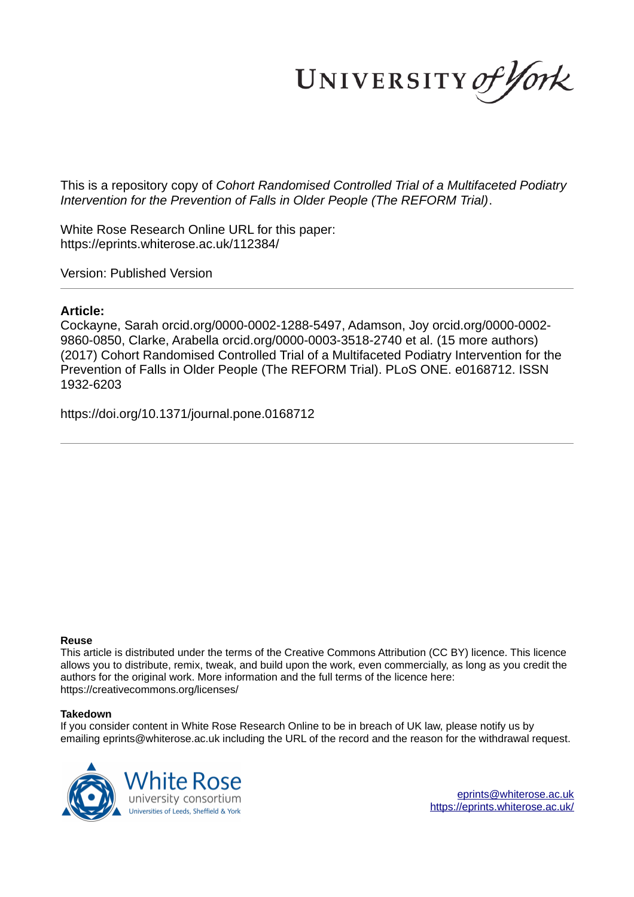UNIVERSITY of York

This is a repository copy of *Cohort Randomised Controlled Trial of a Multifaceted Podiatry Intervention for the Prevention of Falls in Older People (The REFORM Trial)*.

White Rose Research Online URL for this paper: https://eprints.whiterose.ac.uk/112384/

Version: Published Version

#### **Article:**

Cockayne, Sarah orcid.org/0000-0002-1288-5497, Adamson, Joy orcid.org/0000-0002- 9860-0850, Clarke, Arabella orcid.org/0000-0003-3518-2740 et al. (15 more authors) (2017) Cohort Randomised Controlled Trial of a Multifaceted Podiatry Intervention for the Prevention of Falls in Older People (The REFORM Trial). PLoS ONE. e0168712. ISSN 1932-6203

https://doi.org/10.1371/journal.pone.0168712

#### **Reuse**

This article is distributed under the terms of the Creative Commons Attribution (CC BY) licence. This licence allows you to distribute, remix, tweak, and build upon the work, even commercially, as long as you credit the authors for the original work. More information and the full terms of the licence here: https://creativecommons.org/licenses/

#### **Takedown**

If you consider content in White Rose Research Online to be in breach of UK law, please notify us by emailing eprints@whiterose.ac.uk including the URL of the record and the reason for the withdrawal request.

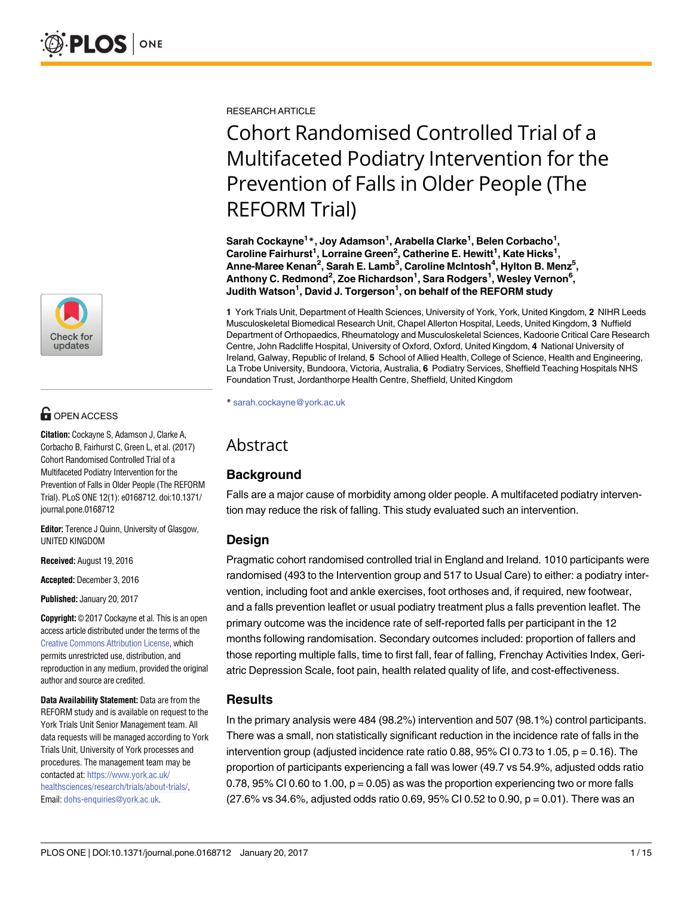

## **G** OPEN ACCESS

**Citation:** Cockayne S, Adamson J, Clarke A, Corbacho B, Fairhurst C, Green L, et al. (2017) Cohort Randomised Controlled Trial of a Multifaceted Podiatry Intervention for the Prevention of Falls in Older People (The REFORM Trial). PLoS ONE 12(1): e0168712. doi:10.1371/ journal.pone.0168712

**Editor:** Terence J Quinn, University of Glasgow, UNITED KINGDOM

**Received:** August 19, 2016

**Accepted:** December 3, 2016

**Published:** January 20, 2017

**Copyright:** © 2017 Cockayne et al. This is an open access article distributed under the terms of the [Creative Commons Attribution License,](http://creativecommons.org/licenses/by/4.0/) which permits unrestricted use, distribution, and reproduction in any medium, provided the original author and source are credited.

**Data Availability Statement:** Data are from the REFORM study and is available on request to the York Trials Unit Senior Management team. All data requests will be managed according to York Trials Unit, University of York processes and procedures. The management team may be contacted at: [https://www.york.ac.uk/](https://www.york.ac.uk/healthsciences/research/trials/about-trials/) [healthsciences/research/trials/about-trials/,](https://www.york.ac.uk/healthsciences/research/trials/about-trials/) Email: [dohs-enquiries@york.ac.uk](mailto:dohs-enquiries@york.ac.uk).

RESEARCH ARTICLE

# Cohort Randomised Controlled Trial of a Multifaceted Podiatry Intervention for the Prevention of Falls in Older People (The REFORM Trial)

**Sarah Cockayne1\*, Joy Adamson<sup>1</sup> , Arabella Clarke<sup>1</sup> , Belen Corbacho<sup>1</sup> , Caroline Fairhurst<sup>1</sup> , Lorraine Green<sup>2</sup> , Catherine E. Hewitt<sup>1</sup> , Kate Hicks<sup>1</sup> , Anne-Maree Kenan<sup>2</sup> , Sarah E. Lamb<sup>3</sup> , Caroline McIntosh<sup>4</sup> , Hylton B. Menz<sup>5</sup> , Anthony C. Redmond<sup>2</sup> , Zoe Richardson<sup>1</sup> , Sara Rodgers<sup>1</sup> , Wesley Vernon<sup>6</sup> , Judith Watson<sup>1</sup> , David J. Torgerson<sup>1</sup> , on behalf of the REFORM study**

**1** York Trials Unit, Department of Health Sciences, University of York, York, United Kingdom, **2** NIHR Leeds Musculoskeletal Biomedical Research Unit, Chapel Allerton Hospital, Leeds, United Kingdom, **3** Nuffield Department of Orthopaedics, Rheumatology and Musculoskeletal Sciences, Kadoorie Critical Care Research Centre, John Radcliffe Hospital, University of Oxford, Oxford, United Kingdom, **4** National University of Ireland, Galway, Republic of Ireland, **5** School of Allied Health, College of Science, Health and Engineering, La Trobe University, Bundoora, Victoria, Australia, **6** Podiatry Services, Sheffield Teaching Hospitals NHS Foundation Trust, Jordanthorpe Health Centre, Sheffield, United Kingdom

\* sarah.cockayne@york.ac.uk

## **Abstract**

## **Background**

Falls are a major cause of morbidity among older people. A multifaceted podiatry intervention may reduce the risk of falling. This study evaluated such an intervention.

## **Design**

Pragmatic cohort randomised controlled trial in England and Ireland. 1010 participants were randomised (493 to the Intervention group and 517 to Usual Care) to either: a podiatry intervention, including foot and ankle exercises, foot orthoses and, if required, new footwear, and a falls prevention leaflet or usual podiatry treatment plus a falls prevention leaflet. The primary outcome was the incidence rate of self-reported falls per participant in the 12 months following randomisation. Secondary outcomes included: proportion of fallers and those reporting multiple falls, time to first fall, fear of falling, Frenchay Activities Index, Geriatric Depression Scale, foot pain, health related quality of life, and cost-effectiveness.

## **Results**

In the primary analysis were 484 (98.2%) intervention and 507 (98.1%) control participants. There was a small, non statistically significant reduction in the incidence rate of falls in the intervention group (adjusted incidence rate ratio 0.88, 95% CI 0.73 to 1.05,  $p = 0.16$ ). The proportion of participants experiencing a fall was lower (49.7 vs 54.9%, adjusted odds ratio 0.78, 95% CI 0.60 to 1.00,  $p = 0.05$ ) as was the proportion experiencing two or more falls (27.6% vs 34.6%, adjusted odds ratio 0.69, 95% CI 0.52 to 0.90, p = 0.01). There was an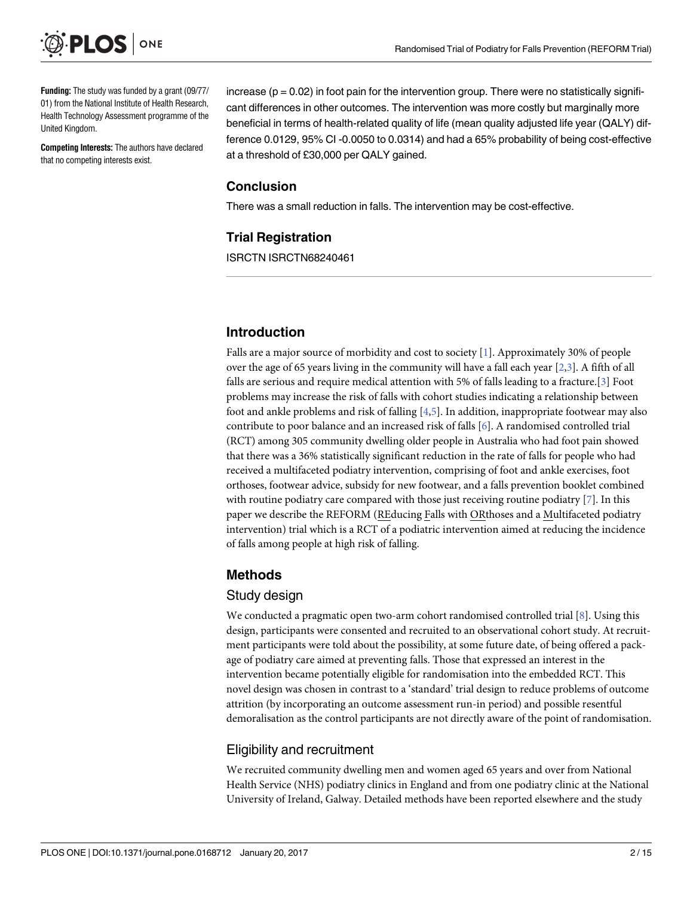<span id="page-2-0"></span>

**Funding:** The study was funded by a grant (09/77/ 01) from the National Institute of Health Research, Health Technology Assessment programme of the United Kingdom.

**Competing Interests:** The authors have declared that no competing interests exist.

increase ( $p = 0.02$ ) in foot pain for the intervention group. There were no statistically significant differences in other outcomes. The intervention was more costly but marginally more beneficial in terms of health-related quality of life (mean quality adjusted life year (QALY) difference 0.0129, 95% CI -0.0050 to 0.0314) and had a 65% probability of being cost-effective at a threshold of £30,000 per QALY gained.

#### **Conclusion**

There was a small reduction in falls. The intervention may be cost-effective.

#### **Trial Registration**

ISRCTN ISRCTN68240461

## **Introduction**

Falls are a major source of morbidity and cost to society [[1\]](#page-14-0). Approximately 30% of people over the age of 65 years living in the community will have a fall each year  $[2,3]$  $[2,3]$ . A fifth of all falls are serious and require medical attention with 5% of falls leading to a fracture.[\[3\]](#page-14-0) Foot problems may increase the risk of falls with cohort studies indicating a relationship between foot and ankle problems and risk of falling  $[4,5]$ . In addition, inappropriate footwear may also contribute to poor balance and an increased risk of falls [[6\]](#page-14-0). A randomised controlled trial (RCT) among 305 community dwelling older people in Australia who had foot pain showed that there was a 36% statistically significant reduction in the rate of falls for people who had received a multifaceted podiatry intervention, comprising of foot and ankle exercises, foot orthoses, footwear advice, subsidy for new footwear, and a falls prevention booklet combined with routine podiatry care compared with those just receiving routine podiatry  $[7]$  $[7]$ . In this paper we describe the REFORM (REducing Falls with ORthoses and a Multifaceted podiatry intervention) trial which is a RCT of a podiatric intervention aimed at reducing the incidence of falls among people at high risk of falling.

## **Methods**

#### Study design

We conducted a pragmatic open two-arm cohort randomised controlled trial [\[8\]](#page-14-0). Using this design, participants were consented and recruited to an observational cohort study. At recruitment participants were told about the possibility, at some future date, of being offered a package of podiatry care aimed at preventing falls. Those that expressed an interest in the intervention became potentially eligible for randomisation into the embedded RCT. This novel design was chosen in contrast to a 'standard' trial design to reduce problems of outcome attrition (by incorporating an outcome assessment run-in period) and possible resentful demoralisation as the control participants are not directly aware of the point of randomisation.

## Eligibility and recruitment

We recruited community dwelling men and women aged 65 years and over from National Health Service (NHS) podiatry clinics in England and from one podiatry clinic at the National University of Ireland, Galway. Detailed methods have been reported elsewhere and the study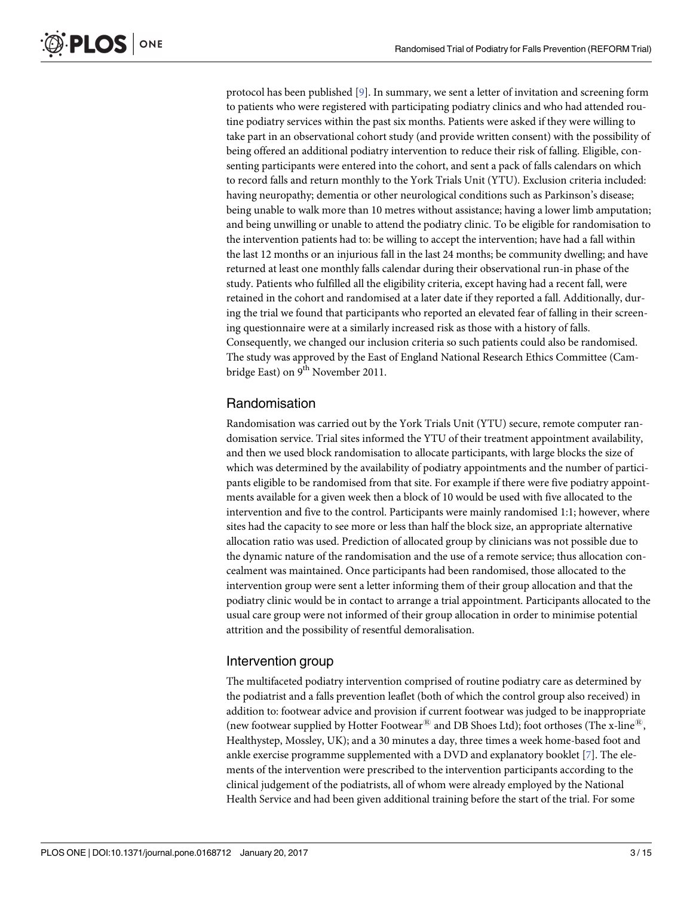<span id="page-3-0"></span>protocol has been published [\[9\]](#page-14-0). In summary, we sent a letter of invitation and screening form to patients who were registered with participating podiatry clinics and who had attended routine podiatry services within the past six months. Patients were asked if they were willing to take part in an observational cohort study (and provide written consent) with the possibility of being offered an additional podiatry intervention to reduce their risk of falling. Eligible, consenting participants were entered into the cohort, and sent a pack of falls calendars on which to record falls and return monthly to the York Trials Unit (YTU). Exclusion criteria included: having neuropathy; dementia or other neurological conditions such as Parkinson's disease; being unable to walk more than 10 metres without assistance; having a lower limb amputation; and being unwilling or unable to attend the podiatry clinic. To be eligible for randomisation to the intervention patients had to: be willing to accept the intervention; have had a fall within the last 12 months or an injurious fall in the last 24 months; be community dwelling; and have returned at least one monthly falls calendar during their observational run-in phase of the study. Patients who fulfilled all the eligibility criteria, except having had a recent fall, were retained in the cohort and randomised at a later date if they reported a fall. Additionally, during the trial we found that participants who reported an elevated fear of falling in their screening questionnaire were at a similarly increased risk as those with a history of falls. Consequently, we changed our inclusion criteria so such patients could also be randomised. The study was approved by the East of England National Research Ethics Committee (Cambridge East) on 9<sup>th</sup> November 2011.

#### Randomisation

Randomisation was carried out by the York Trials Unit (YTU) secure, remote computer randomisation service. Trial sites informed the YTU of their treatment appointment availability, and then we used block randomisation to allocate participants, with large blocks the size of which was determined by the availability of podiatry appointments and the number of participants eligible to be randomised from that site. For example if there were five podiatry appointments available for a given week then a block of 10 would be used with five allocated to the intervention and five to the control. Participants were mainly randomised 1:1; however, where sites had the capacity to see more or less than half the block size, an appropriate alternative allocation ratio was used. Prediction of allocated group by clinicians was not possible due to the dynamic nature of the randomisation and the use of a remote service; thus allocation concealment was maintained. Once participants had been randomised, those allocated to the intervention group were sent a letter informing them of their group allocation and that the podiatry clinic would be in contact to arrange a trial appointment. Participants allocated to the usual care group were not informed of their group allocation in order to minimise potential attrition and the possibility of resentful demoralisation.

#### Intervention group

The multifaceted podiatry intervention comprised of routine podiatry care as determined by the podiatrist and a falls prevention leaflet (both of which the control group also received) in addition to: footwear advice and provision if current footwear was judged to be inappropriate (new footwear supplied by Hotter Footwear<sup>®</sup> and DB Shoes Ltd); foot orthoses (The x-line<sup>®</sup>, Healthystep, Mossley, UK); and a 30 minutes a day, three times a week home-based foot and ankle exercise programme supplemented with a DVD and explanatory booklet [[7\]](#page-14-0). The elements of the intervention were prescribed to the intervention participants according to the clinical judgement of the podiatrists, all of whom were already employed by the National Health Service and had been given additional training before the start of the trial. For some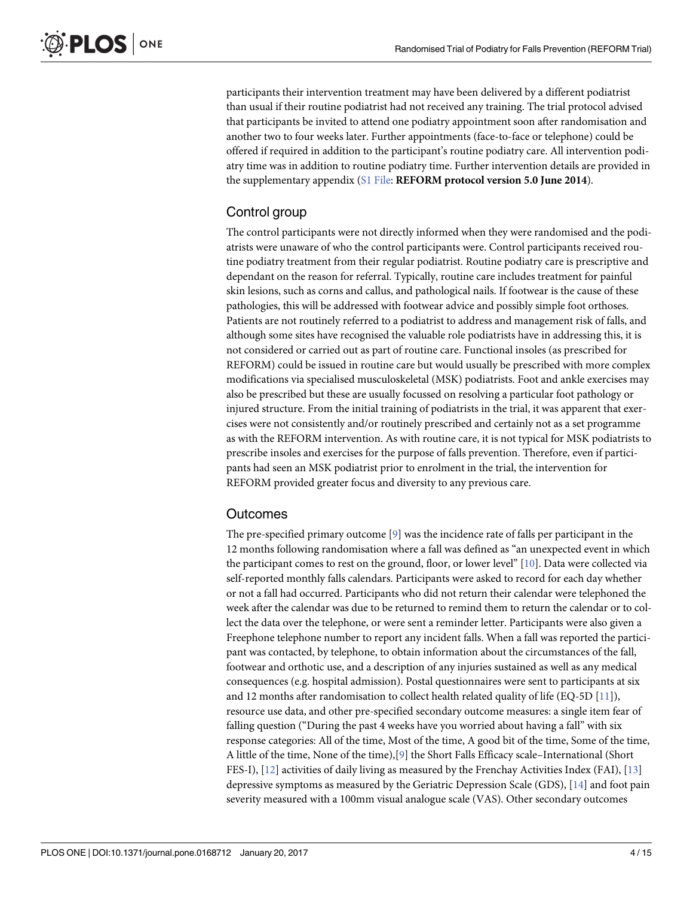<span id="page-4-0"></span>participants their intervention treatment may have been delivered by a different podiatrist than usual if their routine podiatrist had not received any training. The trial protocol advised that participants be invited to attend one podiatry appointment soon after randomisation and another two to four weeks later. Further appointments (face-to-face or telephone) could be offered if required in addition to the participant's routine podiatry care. All intervention podiatry time was in addition to routine podiatry time. Further intervention details are provided in the supplementary appendix ([S1 File](#page-13-0): **REFORM protocol version 5.0 June 2014**).

#### Control group

The control participants were not directly informed when they were randomised and the podiatrists were unaware of who the control participants were. Control participants received routine podiatry treatment from their regular podiatrist. Routine podiatry care is prescriptive and dependant on the reason for referral. Typically, routine care includes treatment for painful skin lesions, such as corns and callus, and pathological nails. If footwear is the cause of these pathologies, this will be addressed with footwear advice and possibly simple foot orthoses. Patients are not routinely referred to a podiatrist to address and management risk of falls, and although some sites have recognised the valuable role podiatrists have in addressing this, it is not considered or carried out as part of routine care. Functional insoles (as prescribed for REFORM) could be issued in routine care but would usually be prescribed with more complex modifications via specialised musculoskeletal (MSK) podiatrists. Foot and ankle exercises may also be prescribed but these are usually focussed on resolving a particular foot pathology or injured structure. From the initial training of podiatrists in the trial, it was apparent that exercises were not consistently and/or routinely prescribed and certainly not as a set programme as with the REFORM intervention. As with routine care, it is not typical for MSK podiatrists to prescribe insoles and exercises for the purpose of falls prevention. Therefore, even if participants had seen an MSK podiatrist prior to enrolment in the trial, the intervention for REFORM provided greater focus and diversity to any previous care.

#### Outcomes

The pre-specified primary outcome  $[9]$  $[9]$  was the incidence rate of falls per participant in the 12 months following randomisation where a fall was defined as "an unexpected event in which the participant comes to rest on the ground, floor, or lower level" [\[10\]](#page-14-0). Data were collected via self-reported monthly falls calendars. Participants were asked to record for each day whether or not a fall had occurred. Participants who did not return their calendar were telephoned the week after the calendar was due to be returned to remind them to return the calendar or to collect the data over the telephone, or were sent a reminder letter. Participants were also given a Freephone telephone number to report any incident falls. When a fall was reported the participant was contacted, by telephone, to obtain information about the circumstances of the fall, footwear and orthotic use, and a description of any injuries sustained as well as any medical consequences (e.g. hospital admission). Postal questionnaires were sent to participants at six and 12 months after randomisation to collect health related quality of life (EQ-5D [[11](#page-14-0)]), resource use data, and other pre-specified secondary outcome measures: a single item fear of falling question ("During the past 4 weeks have you worried about having a fall" with six response categories: All of the time, Most of the time, A good bit of the time, Some of the time, A little of the time, None of the time),[[9\]](#page-14-0) the Short Falls Efficacy scale–International (Short FES-I),  $[12]$  $[12]$  $[12]$  activities of daily living as measured by the Frenchay Activities Index (FAI),  $[13]$  $[13]$  $[13]$ depressive symptoms as measured by the Geriatric Depression Scale (GDS), [\[14\]](#page-15-0) and foot pain severity measured with a 100mm visual analogue scale (VAS). Other secondary outcomes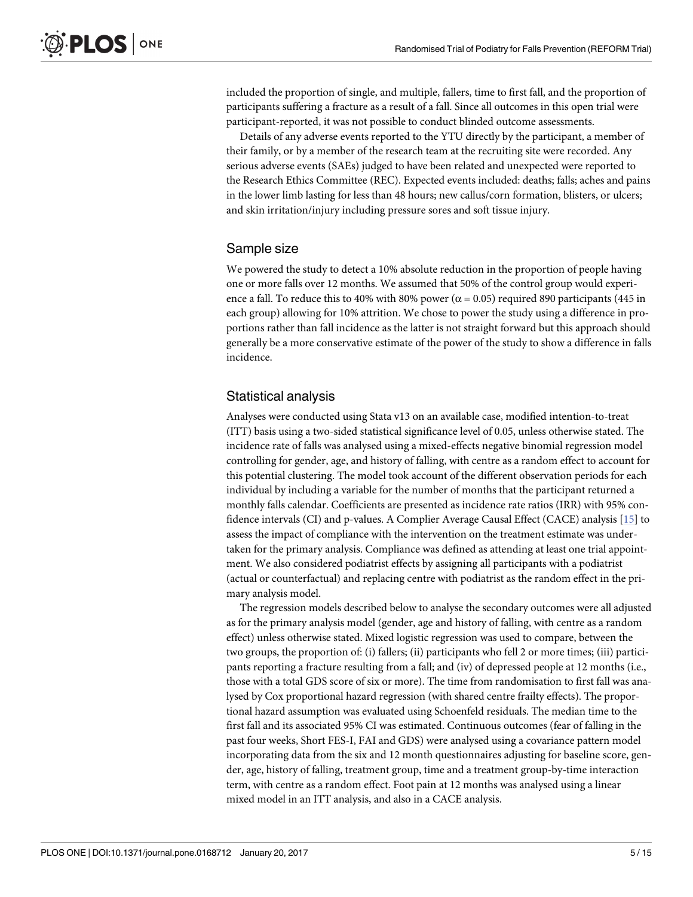<span id="page-5-0"></span>included the proportion of single, and multiple, fallers, time to first fall, and the proportion of participants suffering a fracture as a result of a fall. Since all outcomes in this open trial were participant-reported, it was not possible to conduct blinded outcome assessments.

Details of any adverse events reported to the YTU directly by the participant, a member of their family, or by a member of the research team at the recruiting site were recorded. Any serious adverse events (SAEs) judged to have been related and unexpected were reported to the Research Ethics Committee (REC). Expected events included: deaths; falls; aches and pains in the lower limb lasting for less than 48 hours; new callus/corn formation, blisters, or ulcers; and skin irritation/injury including pressure sores and soft tissue injury.

#### Sample size

We powered the study to detect a 10% absolute reduction in the proportion of people having one or more falls over 12 months. We assumed that 50% of the control group would experience a fall. To reduce this to 40% with 80% power ( $\alpha$  = 0.05) required 890 participants (445 in each group) allowing for 10% attrition. We chose to power the study using a difference in proportions rather than fall incidence as the latter is not straight forward but this approach should generally be a more conservative estimate of the power of the study to show a difference in falls incidence.

#### Statistical analysis

Analyses were conducted using Stata v13 on an available case, modified intention-to-treat (ITT) basis using a two-sided statistical significance level of 0.05, unless otherwise stated. The incidence rate of falls was analysed using a mixed-effects negative binomial regression model controlling for gender, age, and history of falling, with centre as a random effect to account for this potential clustering. The model took account of the different observation periods for each individual by including a variable for the number of months that the participant returned a monthly falls calendar. Coefficients are presented as incidence rate ratios (IRR) with 95% confidence intervals (CI) and p-values. A Complier Average Causal Effect (CACE) analysis [\[15\]](#page-15-0) to assess the impact of compliance with the intervention on the treatment estimate was undertaken for the primary analysis. Compliance was defined as attending at least one trial appointment. We also considered podiatrist effects by assigning all participants with a podiatrist (actual or counterfactual) and replacing centre with podiatrist as the random effect in the primary analysis model.

The regression models described below to analyse the secondary outcomes were all adjusted as for the primary analysis model (gender, age and history of falling, with centre as a random effect) unless otherwise stated. Mixed logistic regression was used to compare, between the two groups, the proportion of: (i) fallers; (ii) participants who fell 2 or more times; (iii) participants reporting a fracture resulting from a fall; and (iv) of depressed people at 12 months (i.e., those with a total GDS score of six or more). The time from randomisation to first fall was analysed by Cox proportional hazard regression (with shared centre frailty effects). The proportional hazard assumption was evaluated using Schoenfeld residuals. The median time to the first fall and its associated 95% CI was estimated. Continuous outcomes (fear of falling in the past four weeks, Short FES-I, FAI and GDS) were analysed using a covariance pattern model incorporating data from the six and 12 month questionnaires adjusting for baseline score, gender, age, history of falling, treatment group, time and a treatment group-by-time interaction term, with centre as a random effect. Foot pain at 12 months was analysed using a linear mixed model in an ITT analysis, and also in a CACE analysis.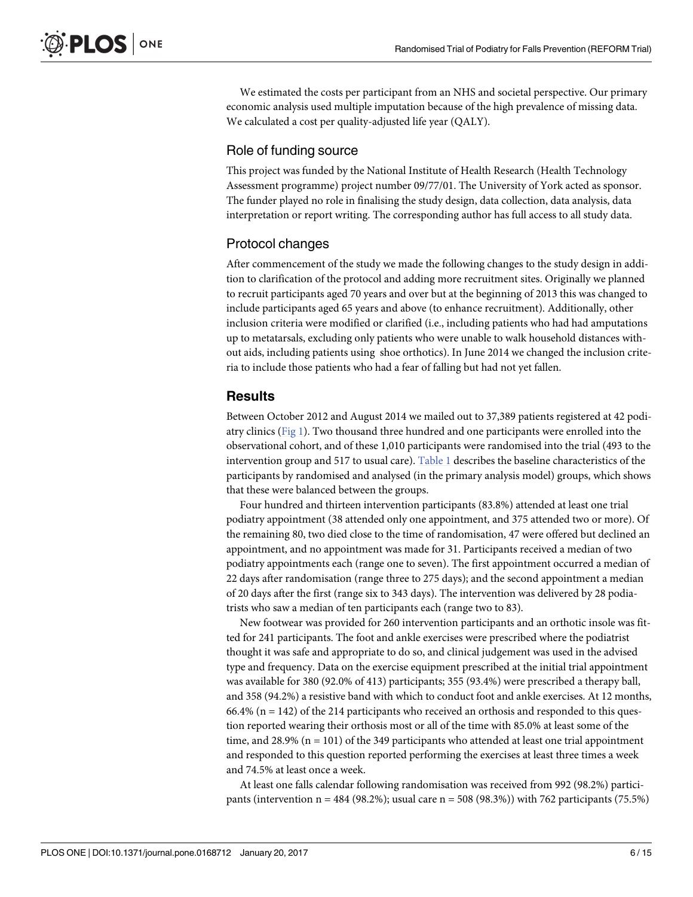<span id="page-6-0"></span>We estimated the costs per participant from an NHS and societal perspective. Our primary economic analysis used multiple imputation because of the high prevalence of missing data. We calculated a cost per quality-adjusted life year (QALY).

#### Role of funding source

This project was funded by the National Institute of Health Research (Health Technology Assessment programme) project number 09/77/01. The University of York acted as sponsor. The funder played no role in finalising the study design, data collection, data analysis, data interpretation or report writing. The corresponding author has full access to all study data.

#### Protocol changes

After commencement of the study we made the following changes to the study design in addition to clarification of the protocol and adding more recruitment sites. Originally we planned to recruit participants aged 70 years and over but at the beginning of 2013 this was changed to include participants aged 65 years and above (to enhance recruitment). Additionally, other inclusion criteria were modified or clarified (i.e., including patients who had had amputations up to metatarsals, excluding only patients who were unable to walk household distances without aids, including patients using shoe orthotics). In June 2014 we changed the inclusion criteria to include those patients who had a fear of falling but had not yet fallen.

#### **Results**

Between October 2012 and August 2014 we mailed out to 37,389 patients registered at 42 podiatry clinics ([Fig 1](#page-7-0)). Two thousand three hundred and one participants were enrolled into the observational cohort, and of these 1,010 participants were randomised into the trial (493 to the intervention group and 517 to usual care). [Table 1](#page-8-0) describes the baseline characteristics of the participants by randomised and analysed (in the primary analysis model) groups, which shows that these were balanced between the groups.

Four hundred and thirteen intervention participants (83.8%) attended at least one trial podiatry appointment (38 attended only one appointment, and 375 attended two or more). Of the remaining 80, two died close to the time of randomisation, 47 were offered but declined an appointment, and no appointment was made for 31. Participants received a median of two podiatry appointments each (range one to seven). The first appointment occurred a median of 22 days after randomisation (range three to 275 days); and the second appointment a median of 20 days after the first (range six to 343 days). The intervention was delivered by 28 podiatrists who saw a median of ten participants each (range two to 83).

New footwear was provided for 260 intervention participants and an orthotic insole was fitted for 241 participants. The foot and ankle exercises were prescribed where the podiatrist thought it was safe and appropriate to do so, and clinical judgement was used in the advised type and frequency. Data on the exercise equipment prescribed at the initial trial appointment was available for 380 (92.0% of 413) participants; 355 (93.4%) were prescribed a therapy ball, and 358 (94.2%) a resistive band with which to conduct foot and ankle exercises. At 12 months, 66.4% ( $n = 142$ ) of the 214 participants who received an orthosis and responded to this question reported wearing their orthosis most or all of the time with 85.0% at least some of the time, and  $28.9\%$  (n = 101) of the 349 participants who attended at least one trial appointment and responded to this question reported performing the exercises at least three times a week and 74.5% at least once a week.

At least one falls calendar following randomisation was received from 992 (98.2%) participants (intervention  $n = 484$  (98.2%); usual care  $n = 508$  (98.3%)) with 762 participants (75.5%)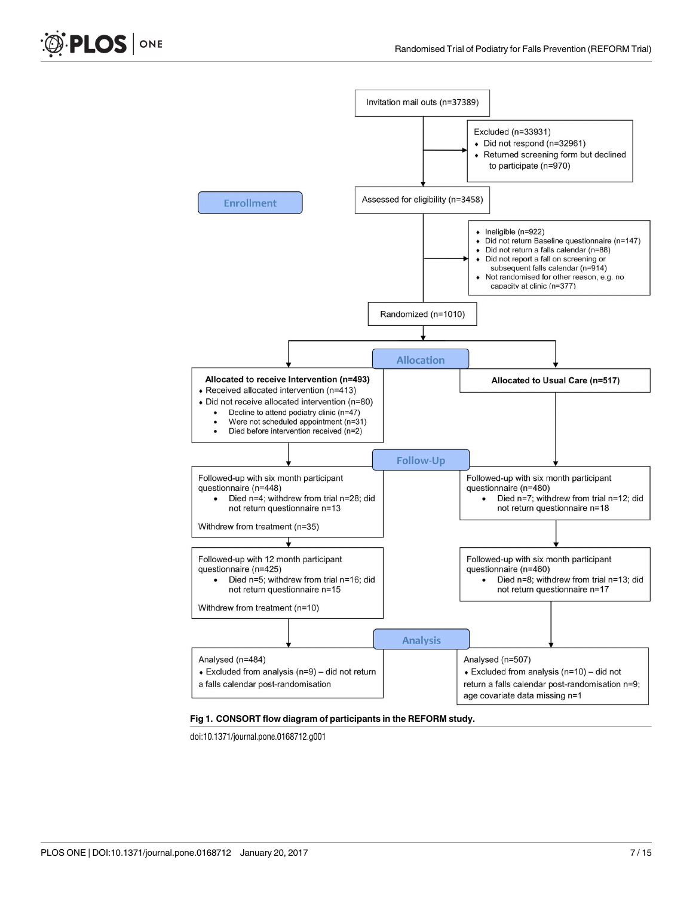<span id="page-7-0"></span>

#### **[Fig 1. C](#page-6-0)ONSORT flow diagram of participants in the REFORM study.**

doi:10.1371/journal.pone.0168712.g001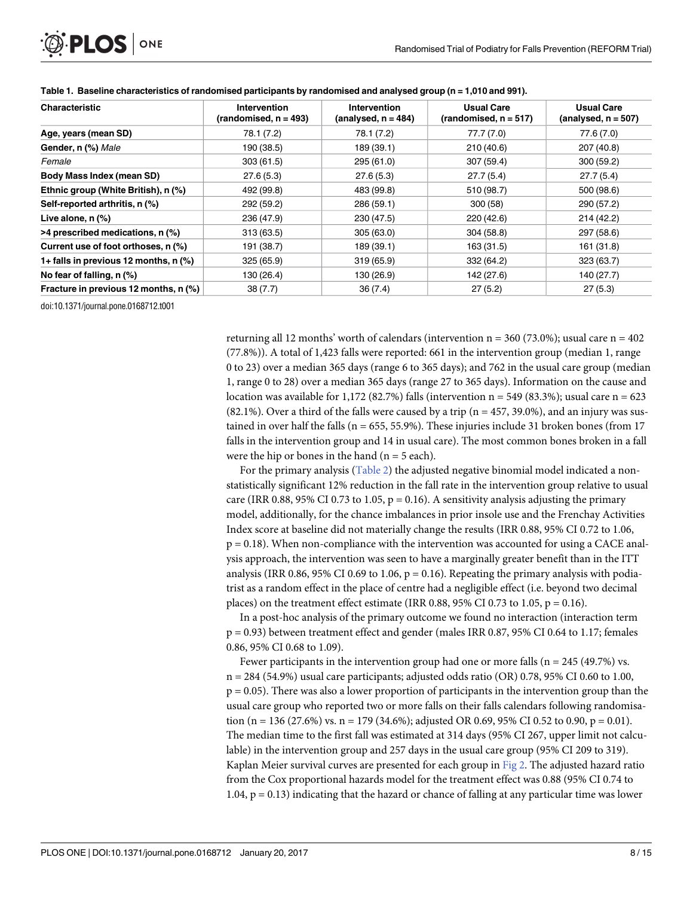| Table 1. Baseline characteristics of randomised participants by randomised and analysed group (n = 1,010 and 991). |                                                |                                               |                                              |                                          |
|--------------------------------------------------------------------------------------------------------------------|------------------------------------------------|-----------------------------------------------|----------------------------------------------|------------------------------------------|
| Characteristic                                                                                                     | <b>Intervention</b><br>$(randomised, n = 493)$ | <b>Intervention</b><br>(analysed, $n = 484$ ) | <b>Usual Care</b><br>$(randomised, n = 517)$ | <b>Usual Care</b><br>(analysed, n = 507) |
| Age, years (mean SD)                                                                                               | 78.1 (7.2)                                     | 78.1 (7.2)                                    | 77.7 (7.0)                                   | 77.6 (7.0)                               |
| <b>Gender, n (%)</b> Male                                                                                          | 190 (38.5)                                     | 189 (39.1)                                    | 210(40.6)                                    | 207 (40.8)                               |
| Female                                                                                                             | 303(61.5)                                      | 295 (61.0)                                    | 307 (59.4)                                   | 300(59.2)                                |
| Body Mass Index (mean SD)                                                                                          | 27.6(5.3)                                      | 27.6(5.3)                                     | 27.7(5.4)                                    | 27.7(5.4)                                |
| Ethnic group (White British), n (%)                                                                                | 492 (99.8)                                     | 483 (99.8)                                    | 510 (98.7)                                   | 500 (98.6)                               |
| Self-reported arthritis, n (%)                                                                                     | 292 (59.2)                                     | 286 (59.1)                                    | 300(58)                                      | 290 (57.2)                               |
| Live alone, n (%)                                                                                                  | 236 (47.9)                                     | 230 (47.5)                                    | 220 (42.6)                                   | 214 (42.2)                               |
| >4 prescribed medications, n (%)                                                                                   | 313(63.5)                                      | 305(63.0)                                     | 304(58.8)                                    | 297 (58.6)                               |
| Current use of foot orthoses, n (%)                                                                                | 191 (38.7)                                     | 189 (39.1)                                    | 163 (31.5)                                   | 161 (31.8)                               |
| 1+ falls in previous 12 months, n (%)                                                                              | 325 (65.9)                                     | 319(65.9)                                     | 332 (64.2)                                   | 323 (63.7)                               |
| No fear of falling, n (%)                                                                                          | 130 (26.4)                                     | 130 (26.9)                                    | 142 (27.6)                                   | 140 (27.7)                               |
| Fracture in previous 12 months, n (%)                                                                              | 38(7.7)                                        | 36(7.4)                                       | 27(5.2)                                      | 27(5.3)                                  |

doi:10.1371/journal.pone.0168712.t001

<span id="page-8-0"></span>PLOS ONE

returning all 12 months' worth of calendars (intervention  $n = 360$  (73.0%); usual care  $n = 402$ (77.8%)). A total of 1,423 falls were reported: 661 in the intervention group (median 1, range 0 to 23) over a median 365 days (range 6 to 365 days); and 762 in the usual care group (median 1, range 0 to 28) over a median 365 days (range 27 to 365 days). Information on the cause and location was available for  $1,172$  (82.7%) falls (intervention  $n = 549$  (83.3%); usual care  $n = 623$  $(82.1\%)$ . Over a third of the falls were caused by a trip  $(n = 457, 39.0\%)$ , and an injury was sustained in over half the falls ( $n = 655, 55.9\%$ ). These injuries include 31 broken bones (from 17 falls in the intervention group and 14 in usual care). The most common bones broken in a fall were the hip or bones in the hand  $(n = 5$  each).

For the primary analysis [\(Table 2](#page-9-0)) the adjusted negative binomial model indicated a nonstatistically significant 12% reduction in the fall rate in the intervention group relative to usual care (IRR 0.88, 95% CI 0.73 to 1.05,  $p = 0.16$ ). A sensitivity analysis adjusting the primary model, additionally, for the chance imbalances in prior insole use and the Frenchay Activities Index score at baseline did not materially change the results (IRR 0.88, 95% CI 0.72 to 1.06,  $p = 0.18$ ). When non-compliance with the intervention was accounted for using a CACE analysis approach, the intervention was seen to have a marginally greater benefit than in the ITT analysis (IRR 0.86, 95% CI 0.69 to 1.06,  $p = 0.16$ ). Repeating the primary analysis with podiatrist as a random effect in the place of centre had a negligible effect (i.e. beyond two decimal places) on the treatment effect estimate (IRR 0.88, 95% CI 0.73 to 1.05,  $p = 0.16$ ).

In a post-hoc analysis of the primary outcome we found no interaction (interaction term p = 0.93) between treatment effect and gender (males IRR 0.87, 95% CI 0.64 to 1.17; females 0.86, 95% CI 0.68 to 1.09).

Fewer participants in the intervention group had one or more falls ( $n = 245 (49.7%)$  vs. n = 284 (54.9%) usual care participants; adjusted odds ratio (OR) 0.78, 95% CI 0.60 to 1.00,  $p = 0.05$ ). There was also a lower proportion of participants in the intervention group than the usual care group who reported two or more falls on their falls calendars following randomisation (n = 136 (27.6%) vs. n = 179 (34.6%); adjusted OR 0.69, 95% CI 0.52 to 0.90, p = 0.01). The median time to the first fall was estimated at 314 days (95% CI 267, upper limit not calculable) in the intervention group and 257 days in the usual care group (95% CI 209 to 319). Kaplan Meier survival curves are presented for each group in [Fig 2.](#page-10-0) The adjusted hazard ratio from the Cox proportional hazards model for the treatment effect was 0.88 (95% CI 0.74 to 1.04,  $p = 0.13$ ) indicating that the hazard or chance of falling at any particular time was lower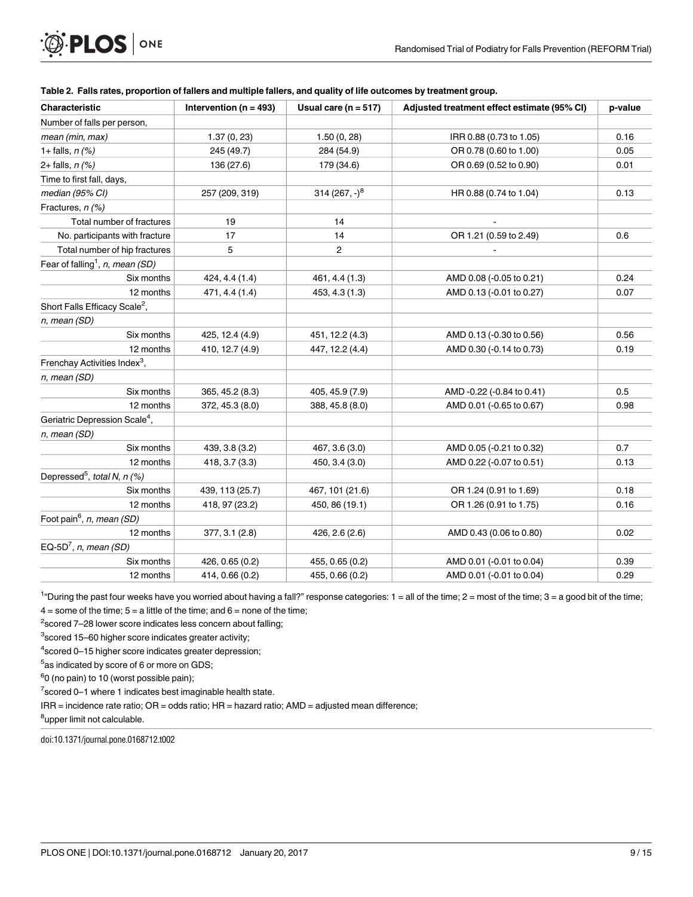| Characteristic                                             | Intervention ( $n = 493$ ) | Usual care ( $n = 517$ )     | Adjusted treatment effect estimate (95% CI) | p-value |
|------------------------------------------------------------|----------------------------|------------------------------|---------------------------------------------|---------|
| Number of falls per person,                                |                            |                              |                                             |         |
| mean (min, max)                                            | 1.37(0, 23)                | 1.50(0, 28)                  | IRR 0.88 (0.73 to 1.05)                     | 0.16    |
| 1+ falls, $n$ $(\%)$                                       | 245 (49.7)                 | 284 (54.9)                   | OR 0.78 (0.60 to 1.00)                      | 0.05    |
| 2+ falls, $n$ $(\%)$                                       | 136 (27.6)                 | 179 (34.6)                   | OR 0.69 (0.52 to 0.90)                      | 0.01    |
| Time to first fall, days,                                  |                            |                              |                                             |         |
| median (95% CI)                                            | 257 (209, 319)             | 314 (267, $-$ ) <sup>8</sup> | HR 0.88 (0.74 to 1.04)                      | 0.13    |
| Fractures, n (%)                                           |                            |                              |                                             |         |
| Total number of fractures                                  | 19                         | 14                           |                                             |         |
| No. participants with fracture                             | 17                         | 14                           | OR 1.21 (0.59 to 2.49)                      | 0.6     |
| Total number of hip fractures                              | 5                          | 2                            |                                             |         |
| Fear of falling <sup>1</sup> , <i>n</i> , <i>mean</i> (SD) |                            |                              |                                             |         |
| Six months                                                 | 424, 4.4 (1.4)             | 461, 4.4 (1.3)               | AMD 0.08 (-0.05 to 0.21)                    | 0.24    |
| 12 months                                                  | 471, 4.4 (1.4)             | 453, 4.3 (1.3)               | AMD 0.13 (-0.01 to 0.27)                    | 0.07    |
| Short Falls Efficacy Scale <sup>2</sup> ,                  |                            |                              |                                             |         |
| n, mean (SD)                                               |                            |                              |                                             |         |
| Six months                                                 | 425, 12.4 (4.9)            | 451, 12.2 (4.3)              | AMD 0.13 (-0.30 to 0.56)                    | 0.56    |
| 12 months                                                  | 410, 12.7 (4.9)            | 447, 12.2 (4.4)              | AMD 0.30 (-0.14 to 0.73)                    | 0.19    |
| Frenchay Activities Index <sup>3</sup> ,                   |                            |                              |                                             |         |
| n, mean (SD)                                               |                            |                              |                                             |         |
| Six months                                                 | 365, 45.2 (8.3)            | 405, 45.9 (7.9)              | AMD -0.22 (-0.84 to 0.41)                   | 0.5     |
| 12 months                                                  | 372, 45.3 (8.0)            | 388, 45.8 (8.0)              | AMD 0.01 (-0.65 to 0.67)                    | 0.98    |
| Geriatric Depression Scale <sup>4</sup> ,                  |                            |                              |                                             |         |
| $n$ , mean (SD)                                            |                            |                              |                                             |         |
| Six months                                                 | 439, 3.8 (3.2)             | 467, 3.6 (3.0)               | AMD 0.05 (-0.21 to 0.32)                    | 0.7     |
| 12 months                                                  | 418, 3.7 (3.3)             | 450, 3.4 (3.0)               | AMD 0.22 (-0.07 to 0.51)                    | 0.13    |
| Depressed <sup>5</sup> , total N, $n$ (%)                  |                            |                              |                                             |         |
| Six months                                                 | 439, 113 (25.7)            | 467, 101 (21.6)              | OR 1.24 (0.91 to 1.69)                      | 0.18    |
| 12 months                                                  | 418, 97 (23.2)             | 450, 86 (19.1)               | OR 1.26 (0.91 to 1.75)                      | 0.16    |
| Foot pain <sup>6</sup> , n, mean (SD)                      |                            |                              |                                             |         |
| 12 months                                                  | 377, 3.1(2.8)              | 426, 2.6 (2.6)               | AMD 0.43 (0.06 to 0.80)                     | 0.02    |
| EQ-5D <sup>7</sup> , n, mean (SD)                          |                            |                              |                                             |         |
| Six months                                                 | 426, 0.65 (0.2)            | 455, 0.65 (0.2)              | AMD 0.01 (-0.01 to 0.04)                    | 0.39    |
| 12 months                                                  | 414, 0.66 (0.2)            | 455, 0.66 (0.2)              | AMD 0.01 (-0.01 to 0.04)                    | 0.29    |

#### **[Table 2.](#page-8-0) Falls rates, proportion of fallers and multiple fallers, and quality of life outcomes by treatment group.**

<sup>1</sup>"During the past four weeks have you worried about having a fall?" response categories:  $1 =$  all of the time;  $2 =$  most of the time;  $3 =$  a good bit of the time;

 $4 =$  some of the time;  $5 =$  a little of the time; and  $6 =$  none of the time;

<sup>2</sup>scored 7–28 lower score indicates less concern about falling;

 $3$ scored 15–60 higher score indicates greater activity;

4 scored 0–15 higher score indicates greater depression;

<sup>5</sup>as indicated by score of 6 or more on GDS;

 $60$  (no pain) to 10 (worst possible pain);

<span id="page-9-0"></span>PLOS | ONE

 $7$ scored 0-1 where 1 indicates best imaginable health state.

IRR = incidence rate ratio; OR = odds ratio; HR = hazard ratio; AMD = adjusted mean difference;

<sup>8</sup>upper limit not calculable.

doi:10.1371/journal.pone.0168712.t002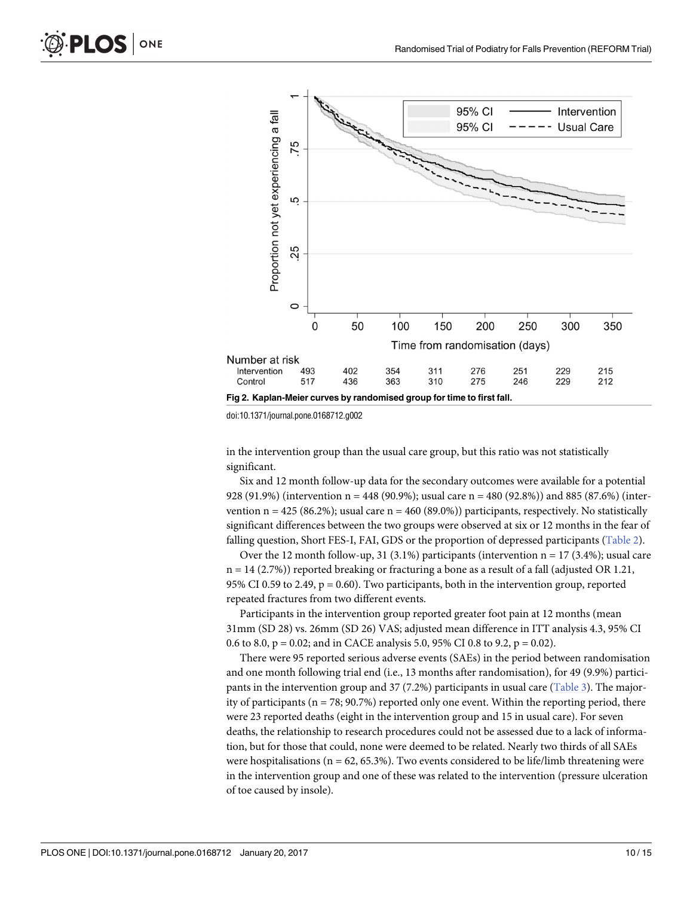<span id="page-10-0"></span>

doi:10.1371/journal.pone.0168712.g002

in the intervention group than the usual care group, but this ratio was not statistically significant.

Six and 12 month follow-up data for the secondary outcomes were available for a potential 928 (91.9%) (intervention n = 448 (90.9%); usual care n = 480 (92.8%)) and 885 (87.6%) (intervention  $n = 425 (86.2\%)$ ; usual care  $n = 460 (89.0\%)$  participants, respectively. No statistically significant differences between the two groups were observed at six or 12 months in the fear of falling question, Short FES-I, FAI, GDS or the proportion of depressed participants [\(Table 2](#page-9-0)).

Over the 12 month follow-up, 31 (3.1%) participants (intervention  $n = 17$  (3.4%); usual care  $n = 14 (2.7%)$  reported breaking or fracturing a bone as a result of a fall (adjusted OR 1.21, 95% CI 0.59 to 2.49,  $p = 0.60$ ). Two participants, both in the intervention group, reported repeated fractures from two different events.

Participants in the intervention group reported greater foot pain at 12 months (mean 31mm (SD 28) vs. 26mm (SD 26) VAS; adjusted mean difference in ITT analysis 4.3, 95% CI 0.6 to 8.0, p = 0.02; and in CACE analysis 5.0, 95% CI 0.8 to 9.2, p = 0.02).

There were 95 reported serious adverse events (SAEs) in the period between randomisation and one month following trial end (i.e., 13 months after randomisation), for 49 (9.9%) partici-pants in the intervention group and 37 (7.2%) participants in usual care [\(Table 3](#page-11-0)). The majority of participants ( $n = 78$ ; 90.7%) reported only one event. Within the reporting period, there were 23 reported deaths (eight in the intervention group and 15 in usual care). For seven deaths, the relationship to research procedures could not be assessed due to a lack of information, but for those that could, none were deemed to be related. Nearly two thirds of all SAEs were hospitalisations ( $n = 62, 65.3\%$ ). Two events considered to be life/limb threatening were in the intervention group and one of these was related to the intervention (pressure ulceration of toe caused by insole).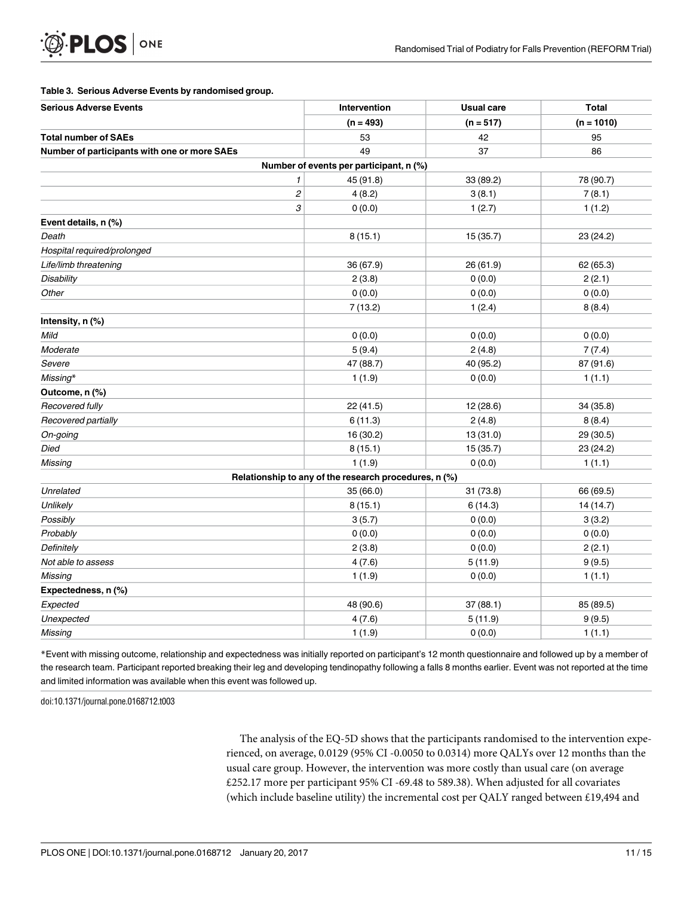<span id="page-11-0"></span>

#### **[Table 3.](#page-10-0) Serious Adverse Events by randomised group.**

| <b>Serious Adverse Events</b>                | Intervention                                          | <b>Usual care</b> | <b>Total</b> |  |  |  |  |
|----------------------------------------------|-------------------------------------------------------|-------------------|--------------|--|--|--|--|
|                                              | $(n = 493)$                                           | $(n = 517)$       | $(n = 1010)$ |  |  |  |  |
| <b>Total number of SAEs</b>                  | 53                                                    | 42                | 95           |  |  |  |  |
| Number of participants with one or more SAEs | 49                                                    | 37                | 86           |  |  |  |  |
|                                              | Number of events per participant, n (%)               |                   |              |  |  |  |  |
| $\mathbf{1}$                                 | 45 (91.8)                                             | 33 (89.2)         | 78 (90.7)    |  |  |  |  |
| 2                                            | 4(8.2)                                                | 3(8.1)            | 7(8.1)       |  |  |  |  |
| 3                                            | 0(0.0)                                                | 1(2.7)            | 1(1.2)       |  |  |  |  |
| Event details, n (%)                         |                                                       |                   |              |  |  |  |  |
| Death                                        | 8(15.1)                                               | 15 (35.7)         | 23 (24.2)    |  |  |  |  |
| Hospital required/prolonged                  |                                                       |                   |              |  |  |  |  |
| Life/limb threatening                        | 36 (67.9)                                             | 26 (61.9)         | 62 (65.3)    |  |  |  |  |
| <b>Disability</b>                            | 2(3.8)                                                | 0(0.0)            | 2(2.1)       |  |  |  |  |
| Other                                        | 0(0.0)                                                | 0(0.0)            | 0(0.0)       |  |  |  |  |
|                                              | 7(13.2)                                               | 1(2.4)            | 8(8.4)       |  |  |  |  |
| Intensity, n (%)                             |                                                       |                   |              |  |  |  |  |
| Mild                                         | 0(0.0)                                                | 0(0.0)            | 0(0.0)       |  |  |  |  |
| Moderate                                     | 5(9.4)                                                | 2(4.8)            | 7(7.4)       |  |  |  |  |
| Severe                                       | 47 (88.7)                                             | 40 (95.2)         | 87 (91.6)    |  |  |  |  |
| Missing*                                     | 1(1.9)                                                | 0(0.0)            | 1(1.1)       |  |  |  |  |
| Outcome, n (%)                               |                                                       |                   |              |  |  |  |  |
| Recovered fully                              | 22 (41.5)                                             | 12 (28.6)         | 34 (35.8)    |  |  |  |  |
| Recovered partially                          | 6(11.3)                                               | 2(4.8)            | 8(8.4)       |  |  |  |  |
| On-going                                     | 16 (30.2)                                             | 13(31.0)          | 29 (30.5)    |  |  |  |  |
| Died                                         | 8(15.1)                                               | 15(35.7)          | 23 (24.2)    |  |  |  |  |
| Missing                                      | 1(1.9)                                                | 0(0.0)            | 1(1.1)       |  |  |  |  |
|                                              | Relationship to any of the research procedures, n (%) |                   |              |  |  |  |  |
| Unrelated                                    | 35 (66.0)                                             | 31(73.8)          | 66 (69.5)    |  |  |  |  |
| Unlikely                                     | 8(15.1)                                               | 6(14.3)           | 14 (14.7)    |  |  |  |  |
| Possibly                                     | 3(5.7)                                                | 0(0.0)            | 3(3.2)       |  |  |  |  |
| Probably                                     | 0(0.0)                                                | 0(0.0)            | 0(0.0)       |  |  |  |  |
| Definitely                                   | 2(3.8)                                                | 0(0.0)            | 2(2.1)       |  |  |  |  |
| Not able to assess                           | 4(7.6)                                                | 5(11.9)           | 9(9.5)       |  |  |  |  |
| <b>Missing</b>                               | 1(1.9)                                                | 0(0.0)            | 1(1.1)       |  |  |  |  |
| Expectedness, n (%)                          |                                                       |                   |              |  |  |  |  |
| Expected                                     | 48 (90.6)                                             | 37(88.1)          | 85 (89.5)    |  |  |  |  |
| Unexpected                                   | 4(7.6)                                                | 5(11.9)           | 9(9.5)       |  |  |  |  |
| Missing                                      | 1(1.9)                                                | 0(0.0)            | 1(1.1)       |  |  |  |  |

\*Event with missing outcome, relationship and expectedness was initially reported on participant's 12 month questionnaire and followed up by a member of the research team. Participant reported breaking their leg and developing tendinopathy following a falls 8 months earlier. Event was not reported at the time and limited information was available when this event was followed up.

doi:10.1371/journal.pone.0168712.t003

The analysis of the EQ-5D shows that the participants randomised to the intervention experienced, on average, 0.0129 (95% CI -0.0050 to 0.0314) more QALYs over 12 months than the usual care group. However, the intervention was more costly than usual care (on average £252.17 more per participant 95% CI -69.48 to 589.38). When adjusted for all covariates (which include baseline utility) the incremental cost per QALY ranged between £19,494 and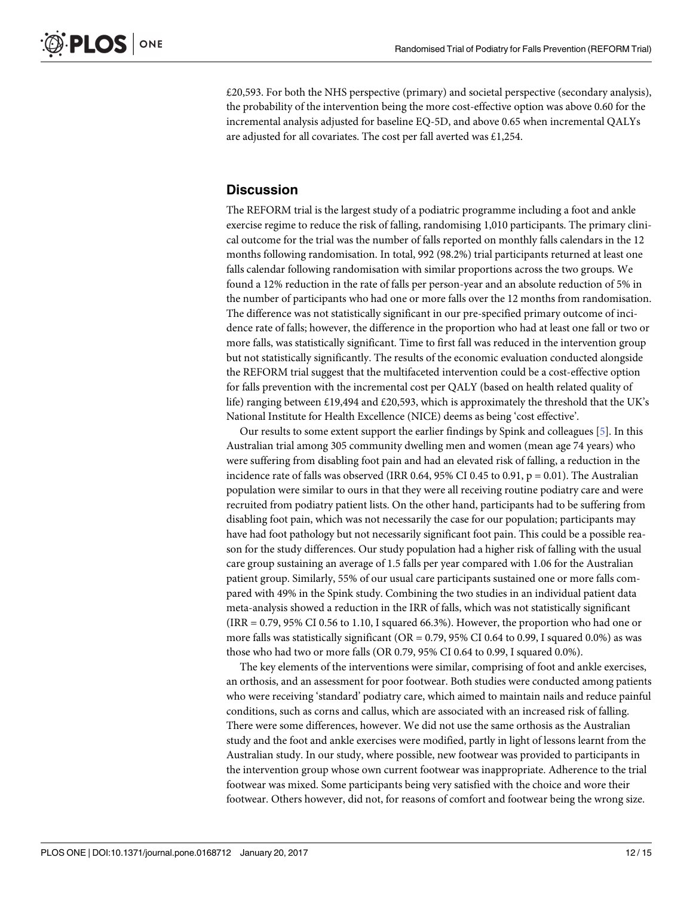£20,593. For both the NHS perspective (primary) and societal perspective (secondary analysis), the probability of the intervention being the more cost-effective option was above 0.60 for the incremental analysis adjusted for baseline EQ-5D, and above 0.65 when incremental QALYs are adjusted for all covariates. The cost per fall averted was £1,254.

#### **Discussion**

The REFORM trial is the largest study of a podiatric programme including a foot and ankle exercise regime to reduce the risk of falling, randomising 1,010 participants. The primary clinical outcome for the trial was the number of falls reported on monthly falls calendars in the 12 months following randomisation. In total, 992 (98.2%) trial participants returned at least one falls calendar following randomisation with similar proportions across the two groups. We found a 12% reduction in the rate of falls per person-year and an absolute reduction of 5% in the number of participants who had one or more falls over the 12 months from randomisation. The difference was not statistically significant in our pre-specified primary outcome of incidence rate of falls; however, the difference in the proportion who had at least one fall or two or more falls, was statistically significant. Time to first fall was reduced in the intervention group but not statistically significantly. The results of the economic evaluation conducted alongside the REFORM trial suggest that the multifaceted intervention could be a cost-effective option for falls prevention with the incremental cost per QALY (based on health related quality of life) ranging between £19,494 and £20,593, which is approximately the threshold that the UK's National Institute for Health Excellence (NICE) deems as being 'cost effective'.

Our results to some extent support the earlier findings by Spink and colleagues [\[5\]](#page-14-0). In this Australian trial among 305 community dwelling men and women (mean age 74 years) who were suffering from disabling foot pain and had an elevated risk of falling, a reduction in the incidence rate of falls was observed (IRR 0.64, 95% CI 0.45 to 0.91,  $p = 0.01$ ). The Australian population were similar to ours in that they were all receiving routine podiatry care and were recruited from podiatry patient lists. On the other hand, participants had to be suffering from disabling foot pain, which was not necessarily the case for our population; participants may have had foot pathology but not necessarily significant foot pain. This could be a possible reason for the study differences. Our study population had a higher risk of falling with the usual care group sustaining an average of 1.5 falls per year compared with 1.06 for the Australian patient group. Similarly, 55% of our usual care participants sustained one or more falls compared with 49% in the Spink study. Combining the two studies in an individual patient data meta-analysis showed a reduction in the IRR of falls, which was not statistically significant (IRR = 0.79, 95% CI 0.56 to 1.10, I squared 66.3%). However, the proportion who had one or more falls was statistically significant ( $OR = 0.79$ , 95% CI 0.64 to 0.99, I squared 0.0%) as was those who had two or more falls (OR 0.79, 95% CI 0.64 to 0.99, I squared 0.0%).

The key elements of the interventions were similar, comprising of foot and ankle exercises, an orthosis, and an assessment for poor footwear. Both studies were conducted among patients who were receiving 'standard' podiatry care, which aimed to maintain nails and reduce painful conditions, such as corns and callus, which are associated with an increased risk of falling. There were some differences, however. We did not use the same orthosis as the Australian study and the foot and ankle exercises were modified, partly in light of lessons learnt from the Australian study. In our study, where possible, new footwear was provided to participants in the intervention group whose own current footwear was inappropriate. Adherence to the trial footwear was mixed. Some participants being very satisfied with the choice and wore their footwear. Others however, did not, for reasons of comfort and footwear being the wrong size.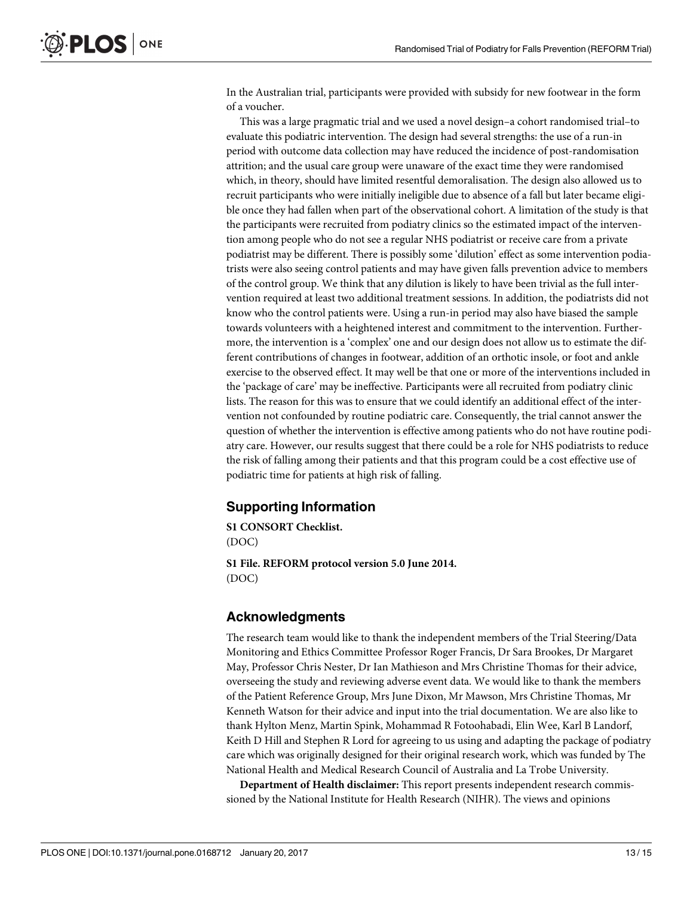<span id="page-13-0"></span>In the Australian trial, participants were provided with subsidy for new footwear in the form of a voucher.

This was a large pragmatic trial and we used a novel design–a cohort randomised trial–to evaluate this podiatric intervention. The design had several strengths: the use of a run-in period with outcome data collection may have reduced the incidence of post-randomisation attrition; and the usual care group were unaware of the exact time they were randomised which, in theory, should have limited resentful demoralisation. The design also allowed us to recruit participants who were initially ineligible due to absence of a fall but later became eligible once they had fallen when part of the observational cohort. A limitation of the study is that the participants were recruited from podiatry clinics so the estimated impact of the intervention among people who do not see a regular NHS podiatrist or receive care from a private podiatrist may be different. There is possibly some 'dilution' effect as some intervention podiatrists were also seeing control patients and may have given falls prevention advice to members of the control group. We think that any dilution is likely to have been trivial as the full intervention required at least two additional treatment sessions. In addition, the podiatrists did not know who the control patients were. Using a run-in period may also have biased the sample towards volunteers with a heightened interest and commitment to the intervention. Furthermore, the intervention is a 'complex' one and our design does not allow us to estimate the different contributions of changes in footwear, addition of an orthotic insole, or foot and ankle exercise to the observed effect. It may well be that one or more of the interventions included in the 'package of care' may be ineffective. Participants were all recruited from podiatry clinic lists. The reason for this was to ensure that we could identify an additional effect of the intervention not confounded by routine podiatric care. Consequently, the trial cannot answer the question of whether the intervention is effective among patients who do not have routine podiatry care. However, our results suggest that there could be a role for NHS podiatrists to reduce the risk of falling among their patients and that this program could be a cost effective use of podiatric time for patients at high risk of falling.

#### **Supporting Information**

**[S1 CONSORT Checklist](http://www.plosone.org/article/fetchSingleRepresentation.action?uri=info:doi/10.1371/journal.pone.0168712.s001).** (DOC)

**[S1 File.](http://www.plosone.org/article/fetchSingleRepresentation.action?uri=info:doi/10.1371/journal.pone.0168712.s002) REFORM protocol version 5.0 June 2014.** (DOC)

#### **Acknowledgments**

The research team would like to thank the independent members of the Trial Steering/Data Monitoring and Ethics Committee Professor Roger Francis, Dr Sara Brookes, Dr Margaret May, Professor Chris Nester, Dr Ian Mathieson and Mrs Christine Thomas for their advice, overseeing the study and reviewing adverse event data. We would like to thank the members of the Patient Reference Group, Mrs June Dixon, Mr Mawson, Mrs Christine Thomas, Mr Kenneth Watson for their advice and input into the trial documentation. We are also like to thank Hylton Menz, Martin Spink, Mohammad R Fotoohabadi, Elin Wee, Karl B Landorf, Keith D Hill and Stephen R Lord for agreeing to us using and adapting the package of podiatry care which was originally designed for their original research work, which was funded by The National Health and Medical Research Council of Australia and La Trobe University.

**Department of Health disclaimer:** This report presents independent research commissioned by the National Institute for Health Research (NIHR). The views and opinions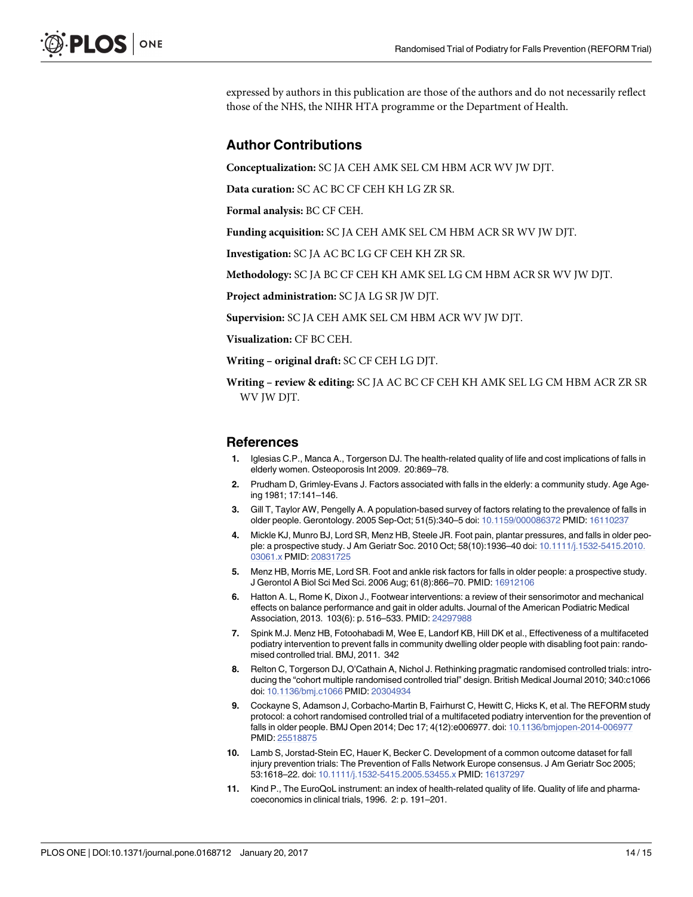<span id="page-14-0"></span>expressed by authors in this publication are those of the authors and do not necessarily reflect those of the NHS, the NIHR HTA programme or the Department of Health.

#### **Author Contributions**

**Conceptualization:** SC JA CEH AMK SEL CM HBM ACR WV JW DJT.

**Data curation:** SC AC BC CF CEH KH LG ZR SR.

**Formal analysis:** BC CF CEH.

**Funding acquisition:** SC JA CEH AMK SEL CM HBM ACR SR WV JW DJT.

**Investigation:** SC JA AC BC LG CF CEH KH ZR SR.

**Methodology:** SC JA BC CF CEH KH AMK SEL LG CM HBM ACR SR WV JW DJT.

**Project administration:** SC JA LG SR JW DJT.

**Supervision:** SC JA CEH AMK SEL CM HBM ACR WV JW DJT.

**Visualization:** CF BC CEH.

**Writing – original draft:** SC CF CEH LG DJT.

**Writing – review & editing:** SC JA AC BC CF CEH KH AMK SEL LG CM HBM ACR ZR SR WV JW DJT.

#### **References**

- **[1](#page-2-0).** Iglesias C.P., Manca A., Torgerson DJ. The health-related quality of life and cost implications of falls in elderly women. Osteoporosis Int 2009. 20:869–78.
- **[2](#page-2-0).** Prudham D, Grimley-Evans J. Factors associated with falls in the elderly: a community study. Age Ageing 1981; 17:141–146.
- **[3](#page-2-0).** Gill T, Taylor AW, Pengelly A. A population-based survey of factors relating to the prevalence of falls in older people. Gerontology. 2005 Sep-Oct; 51(5):340–5 doi: [10.1159/000086372](http://dx.doi.org/10.1159/000086372) PMID: [16110237](http://www.ncbi.nlm.nih.gov/pubmed/16110237)
- **[4](#page-2-0).** Mickle KJ, Munro BJ, Lord SR, Menz HB, Steele JR. Foot pain, plantar pressures, and falls in older people: a prospective study. J Am Geriatr Soc. 2010 Oct; 58(10):1936–40 doi: [10.1111/j.1532-5415.2010.](http://dx.doi.org/10.1111/j.1532-5415.2010.03061.x) [03061.x](http://dx.doi.org/10.1111/j.1532-5415.2010.03061.x) PMID: [20831725](http://www.ncbi.nlm.nih.gov/pubmed/20831725)
- **[5](#page-2-0).** Menz HB, Morris ME, Lord SR. Foot and ankle risk factors for falls in older people: a prospective study. J Gerontol A Biol Sci Med Sci. 2006 Aug; 61(8):866–70. PMID: [16912106](http://www.ncbi.nlm.nih.gov/pubmed/16912106)
- **[6](#page-2-0).** Hatton A. L, Rome K, Dixon J., Footwear interventions: a review of their sensorimotor and mechanical effects on balance performance and gait in older adults. Journal of the American Podiatric Medical Association, 2013. 103(6): p. 516–533. PMID: [24297988](http://www.ncbi.nlm.nih.gov/pubmed/24297988)
- **[7](#page-2-0).** Spink M.J. Menz HB, Fotoohabadi M, Wee E, Landorf KB, Hill DK et al., Effectiveness of a multifaceted podiatry intervention to prevent falls in community dwelling older people with disabling foot pain: randomised controlled trial. BMJ, 2011. 342
- **[8](#page-2-0).** Relton C, Torgerson DJ, O'Cathain A, Nichol J. Rethinking pragmatic randomised controlled trials: introducing the "cohort multiple randomised controlled trial" design. British Medical Journal 2010; 340:c1066 doi: [10.1136/bmj.c1066](http://dx.doi.org/10.1136/bmj.c1066) PMID: [20304934](http://www.ncbi.nlm.nih.gov/pubmed/20304934)
- **[9](#page-3-0).** Cockayne S, Adamson J, Corbacho-Martin B, Fairhurst C, Hewitt C, Hicks K, et al. The REFORM study protocol: a cohort randomised controlled trial of a multifaceted podiatry intervention for the prevention of falls in older people. BMJ Open 2014; Dec 17; 4(12):e006977. doi: [10.1136/bmjopen-2014-006977](http://dx.doi.org/10.1136/bmjopen-2014-006977) PMID: [25518875](http://www.ncbi.nlm.nih.gov/pubmed/25518875)
- **[10](#page-4-0).** Lamb S, Jorstad-Stein EC, Hauer K, Becker C. Development of a common outcome dataset for fall injury prevention trials: The Prevention of Falls Network Europe consensus. J Am Geriatr Soc 2005; 53:1618–22. doi: [10.1111/j.1532-5415.2005.53455.x](http://dx.doi.org/10.1111/j.1532-5415.2005.53455.x) PMID: [16137297](http://www.ncbi.nlm.nih.gov/pubmed/16137297)
- **[11](#page-4-0).** Kind P., The EuroQoL instrument: an index of health-related quality of life. Quality of life and pharmacoeconomics in clinical trials, 1996. 2: p. 191–201.